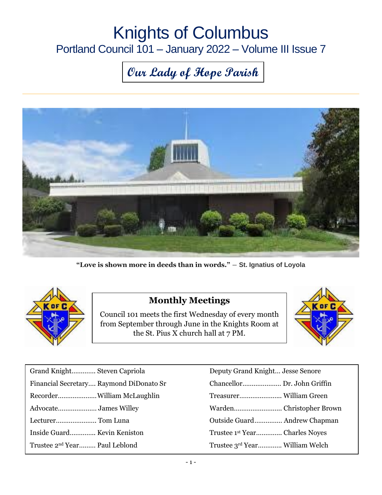## Knights of Columbus Portland Council 101 – January 2022 – Volume III Issue 7

# **Our Lady of Hope Parish**



**"Love is shown more in deeds than in words."** ― **St. Ignatius of Loyola**



#### **Monthly Meetings**

Council 101 meets the first Wednesday of every month from September through June in the Knights Room at the St. Pius X church hall at 7 PM.



| Grand Knight Steven Capriola              | Deputy Grand Knight Jesse Senore           |
|-------------------------------------------|--------------------------------------------|
| Financial Secretary Raymond DiDonato Sr   |                                            |
|                                           |                                            |
|                                           |                                            |
| Lecturer Tom Luna                         |                                            |
| Inside Guard Kevin Keniston               | Trustee 1 <sup>st</sup> Year Charles Noyes |
| Trustee 2 <sup>nd</sup> Year Paul Leblond | Trustee 3rd Year William Welch             |

| Deputy Grand Knight Jesse Senore |  |
|----------------------------------|--|
| Chancellor Dr. John Griffin      |  |
|                                  |  |
|                                  |  |
| Outside Guard Andrew Chapman     |  |
| Trustee 1st Year Charles Noyes   |  |
| Trustee 3rd Year William Welch   |  |
|                                  |  |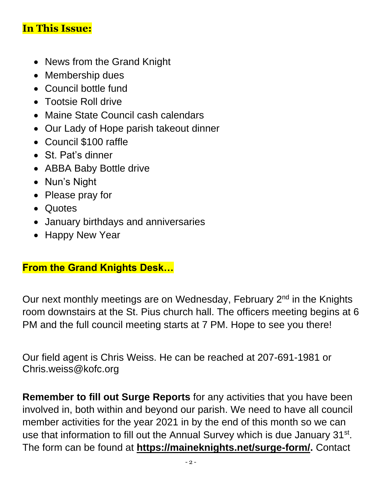#### **In This Issue:**

- News from the Grand Knight
- Membership dues
- Council bottle fund
- Tootsie Roll drive
- Maine State Council cash calendars
- Our Lady of Hope parish takeout dinner
- Council \$100 raffle
- St. Pat's dinner
- ABBA Baby Bottle drive
- Nun's Night
- Please pray for
- Quotes
- January birthdays and anniversaries
- Happy New Year

#### **From the Grand Knights Desk…**

Our next monthly meetings are on Wednesday, February 2<sup>nd</sup> in the Knights room downstairs at the St. Pius church hall. The officers meeting begins at 6 PM and the full council meeting starts at 7 PM. Hope to see you there!

Our field agent is Chris Weiss. He can be reached at 207-691-1981 or [Chris.weiss@kofc.org](mailto:Chris.weiss@kofc.org)

**Remember to fill out Surge Reports** for any activities that you have been involved in, both within and beyond our parish. We need to have all council member activities for the year 2021 in by the end of this month so we can use that information to fill out the Annual Survey which is due January 31<sup>st</sup>. The form can be found at **[https://maineknights.net/surge-form/.](https://maineknights.net/surge-form/)** Contact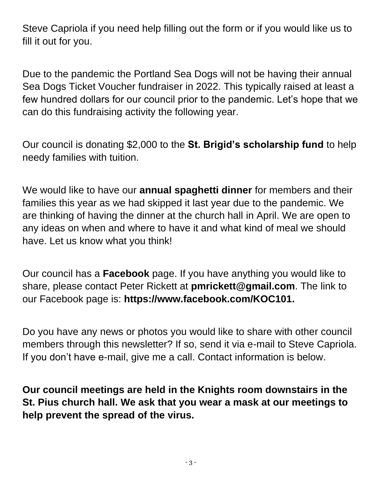Steve Capriola if you need help filling out the form or if you would like us to fill it out for you.

Due to the pandemic the Portland Sea Dogs will not be having their annual Sea Dogs Ticket Voucher fundraiser in 2022. This typically raised at least a few hundred dollars for our council prior to the pandemic. Let's hope that we can do this fundraising activity the following year.

Our council is donating \$2,000 to the **St. Brigid's scholarship fund** to help needy families with tuition.

We would like to have our **annual spaghetti dinner** for members and their families this year as we had skipped it last year due to the pandemic. We are thinking of having the dinner at the church hall in April. We are open to any ideas on when and where to have it and what kind of meal we should have. Let us know what you think!

Our council has a **Facebook** page. If you have anything you would like to share, please contact Peter Rickett at **[pmrickett@gmail.com](mailto:pmrickett@gmail.com)**. The link to our Facebook page is: **https://www.facebook.com/KOC101.**

Do you have any news or photos you would like to share with other council members through this newsletter? If so, send it via e-mail to Steve Capriola. If you don't have e-mail, give me a call. Contact information is below.

**Our council meetings are held in the Knights room downstairs in the St. Pius church hall. We ask that you wear a mask at our meetings to help prevent the spread of the virus.**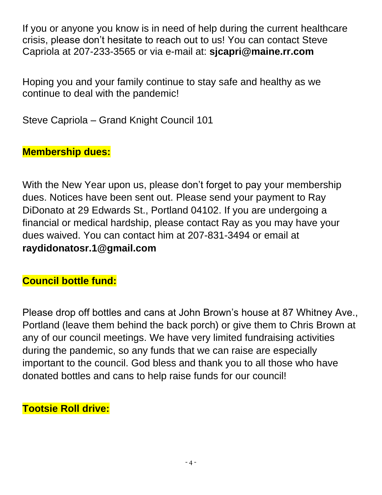If you or anyone you know is in need of help during the current healthcare crisis, please don't hesitate to reach out to us! You can contact Steve Capriola at 207-233-3565 or via e-mail at: **[sjcapri@maine.rr.com](mailto:sjcapri@maine.rr.com)**

Hoping you and your family continue to stay safe and healthy as we continue to deal with the pandemic!

Steve Capriola – Grand Knight Council 101

#### **Membership dues:**

With the New Year upon us, please don't forget to pay your membership dues. Notices have been sent out. Please send your payment to Ray DiDonato at 29 Edwards St., Portland 04102. If you are undergoing a financial or medical hardship, please contact Ray as you may have your dues waived. You can contact him at 207-831-3494 or email at **[raydidonatosr.1@gmail.com](mailto:raydidonatosr.1@gmail.com)**

#### **Council bottle fund:**

Please drop off bottles and cans at John Brown's house at 87 Whitney Ave., Portland (leave them behind the back porch) or give them to Chris Brown at any of our council meetings. We have very limited fundraising activities during the pandemic, so any funds that we can raise are especially important to the council. God bless and thank you to all those who have donated bottles and cans to help raise funds for our council!

#### **Tootsie Roll drive:**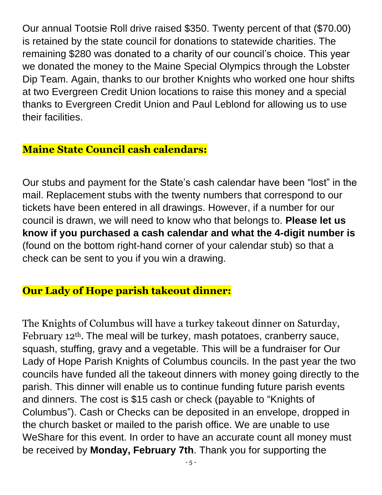Our annual Tootsie Roll drive raised \$350. Twenty percent of that (\$70.00) is retained by the state council for donations to statewide charities. The remaining \$280 was donated to a charity of our council's choice. This year we donated the money to the Maine Special Olympics through the Lobster Dip Team. Again, thanks to our brother Knights who worked one hour shifts at two Evergreen Credit Union locations to raise this money and a special thanks to Evergreen Credit Union and Paul Leblond for allowing us to use their facilities.

### **Maine State Council cash calendars:**

Our stubs and payment for the State's cash calendar have been "lost" in the mail. Replacement stubs with the twenty numbers that correspond to our tickets have been entered in all drawings. However, if a number for our council is drawn, we will need to know who that belongs to. **Please let us know if you purchased a cash calendar and what the 4-digit number is** (found on the bottom right-hand corner of your calendar stub) so that a check can be sent to you if you win a drawing.

#### **Our Lady of Hope parish takeout dinner:**

The Knights of Columbus will have a turkey takeout dinner on Saturday, February 12<sup>th</sup>. The meal will be turkey, mash potatoes, cranberry sauce, squash, stuffing, gravy and a vegetable. This will be a fundraiser for Our Lady of Hope Parish Knights of Columbus councils. In the past year the two councils have funded all the takeout dinners with money going directly to the parish. This dinner will enable us to continue funding future parish events and dinners. The cost is \$15 cash or check (payable to "Knights of Columbus"). Cash or Checks can be deposited in an envelope, dropped in the church basket or mailed to the parish office. We are unable to use WeShare for this event. In order to have an accurate count all money must be received by **Monday, February 7th**. Thank you for supporting the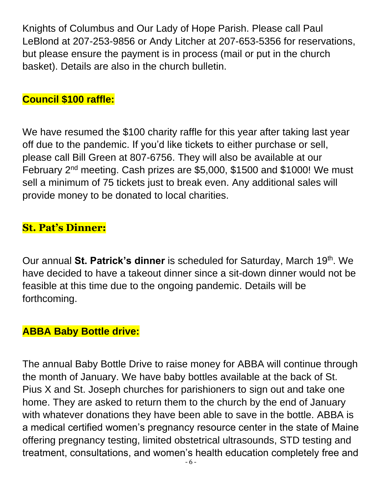Knights of Columbus and Our Lady of Hope Parish. Please call Paul LeBlond at 207-253-9856 or Andy Litcher at 207-653-5356 for reservations, but please ensure the payment is in process (mail or put in the church basket). Details are also in the church bulletin.

#### **Council \$100 raffle:**

We have resumed the \$100 charity raffle for this year after taking last year off due to the pandemic. If you'd like tickets to either purchase or sell, please call Bill Green at 807-6756. They will also be available at our February 2nd meeting. Cash prizes are \$5,000, \$1500 and \$1000! We must sell a minimum of 75 tickets just to break even. Any additional sales will provide money to be donated to local charities.

#### **St. Pat's Dinner:**

Our annual **St. Patrick's dinner** is scheduled for Saturday, March 19th. We have decided to have a takeout dinner since a sit-down dinner would not be feasible at this time due to the ongoing pandemic. Details will be forthcoming.

#### **ABBA Baby Bottle drive:**

The annual Baby Bottle Drive to raise money for ABBA will continue through the month of January. We have baby bottles available at the back of St. Pius X and St. Joseph churches for parishioners to sign out and take one home. They are asked to return them to the church by the end of January with whatever donations they have been able to save in the bottle. ABBA is a medical certified women's pregnancy resource center in the state of Maine offering pregnancy testing, limited obstetrical ultrasounds, STD testing and treatment, consultations, and women's health education completely free and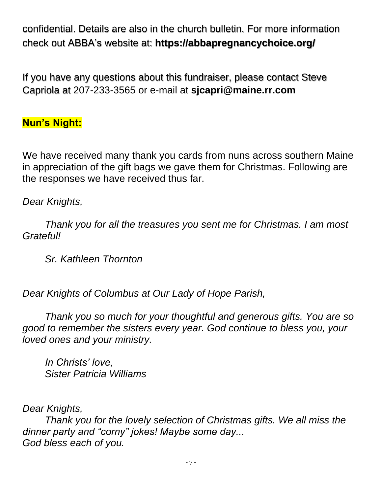confidential. Details are also in the church bulletin. For more information check out ABBA's website at: **https://abbapregnancychoice.org/**

If you have any questions about this fundraiser, please contact Steve Capriola at 207-233-3565 or e-mail at **[sjcapri@maine.rr.com](mailto:sjcapri@maine.rr.com)**

#### **Nun's Night:**

We have received many thank you cards from nuns across southern Maine in appreciation of the gift bags we gave them for Christmas. Following are the responses we have received thus far.

#### *Dear Knights,*

*Thank you for all the treasures you sent me for Christmas. I am most Grateful!*

*Sr. Kathleen Thornton*

*Dear Knights of Columbus at Our Lady of Hope Parish,*

*Thank you so much for your thoughtful and generous gifts. You are so good to remember the sisters every year. God continue to bless you, your loved ones and your ministry.*

*In Christs' love, Sister Patricia Williams*

*Dear Knights,*

*Thank you for the lovely selection of Christmas gifts. We all miss the dinner party and "corny" jokes! Maybe some day... God bless each of you.*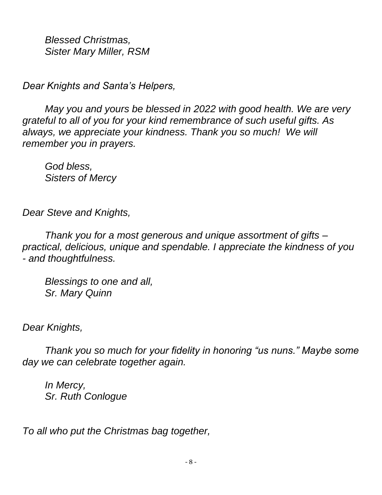*Blessed Christmas, Sister Mary Miller, RSM*

*Dear Knights and Santa's Helpers,*

*May you and yours be blessed in 2022 with good health. We are very grateful to all of you for your kind remembrance of such useful gifts. As always, we appreciate your kindness. Thank you so much! We will remember you in prayers.*

*God bless, Sisters of Mercy*

*Dear Steve and Knights,*

*Thank you for a most generous and unique assortment of gifts – practical, delicious, unique and spendable. I appreciate the kindness of you - and thoughtfulness.*

*Blessings to one and all, Sr. Mary Quinn*

*Dear Knights,*

*Thank you so much for your fidelity in honoring "us nuns." Maybe some day we can celebrate together again.*

*In Mercy, Sr. Ruth Conlogue*

*To all who put the Christmas bag together,*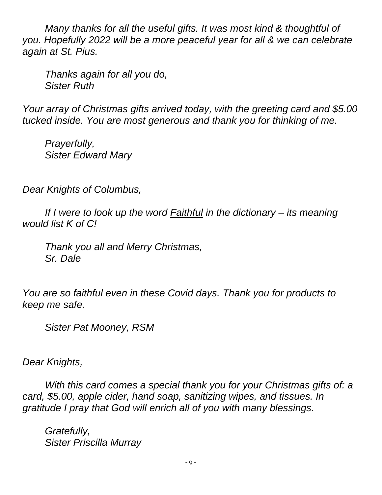*Many thanks for all the useful gifts. It was most kind & thoughtful of you. Hopefully 2022 will be a more peaceful year for all & we can celebrate again at St. Pius.* 

*Thanks again for all you do, Sister Ruth*

*Your array of Christmas gifts arrived today, with the greeting card and \$5.00 tucked inside. You are most generous and thank you for thinking of me.*

*Prayerfully, Sister Edward Mary*

*Dear Knights of Columbus,*

*If I were to look up the word Faithful in the dictionary – its meaning would list K of C!*

*Thank you all and Merry Christmas, Sr. Dale*

*You are so faithful even in these Covid days. Thank you for products to keep me safe.*

*Sister Pat Mooney, RSM*

*Dear Knights,*

*With this card comes a special thank you for your Christmas gifts of: a card, \$5.00, apple cider, hand soap, sanitizing wipes, and tissues. In gratitude I pray that God will enrich all of you with many blessings.*

*Gratefully, Sister Priscilla Murray*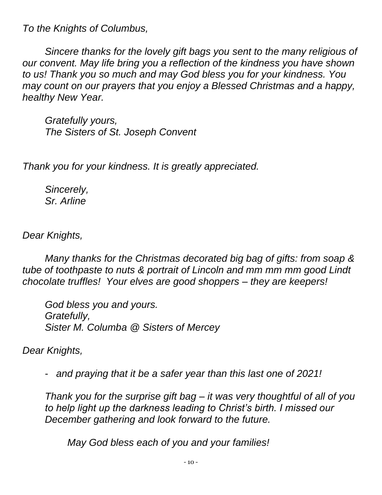*To the Knights of Columbus,*

*Sincere thanks for the lovely gift bags you sent to the many religious of our convent. May life bring you a reflection of the kindness you have shown to us! Thank you so much and may God bless you for your kindness. You may count on our prayers that you enjoy a Blessed Christmas and a happy, healthy New Year.*

*Gratefully yours, The Sisters of St. Joseph Convent*

*Thank you for your kindness. It is greatly appreciated.*

*Sincerely, Sr. Arline*

*Dear Knights,*

*Many thanks for the Christmas decorated big bag of gifts: from soap & tube of toothpaste to nuts & portrait of Lincoln and mm mm mm good Lindt chocolate truffles! Your elves are good shoppers – they are keepers!*

*God bless you and yours. Gratefully, Sister M. Columba @ Sisters of Mercey*

*Dear Knights,*

- *and praying that it be a safer year than this last one of 2021!*

*Thank you for the surprise gift bag – it was very thoughtful of all of you to help light up the darkness leading to Christ's birth. I missed our December gathering and look forward to the future.*

*May God bless each of you and your families!*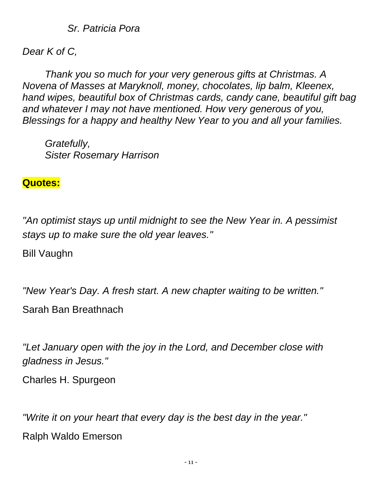*Sr. Patricia Pora*

*Dear K of C,*

*Thank you so much for your very generous gifts at Christmas. A Novena of Masses at Maryknoll, money, chocolates, lip balm, Kleenex, hand wipes, beautiful box of Christmas cards, candy cane, beautiful gift bag and whatever I may not have mentioned. How very generous of you, Blessings for a happy and healthy New Year to you and all your families.*

*Gratefully, Sister Rosemary Harrison*

#### **Quotes:**

*"An optimist stays up until midnight to see the New Year in. A pessimist stays up to make sure the old year leaves."*

Bill Vaughn

*"New Year's Day. A fresh start. A new chapter waiting to be written."*

Sarah Ban Breathnach

*"Let January open with the joy in the Lord, and December close with gladness in Jesus."*

Charles H. Spurgeon

*"Write it on your heart that every day is the best day in the year."* Ralph Waldo Emerson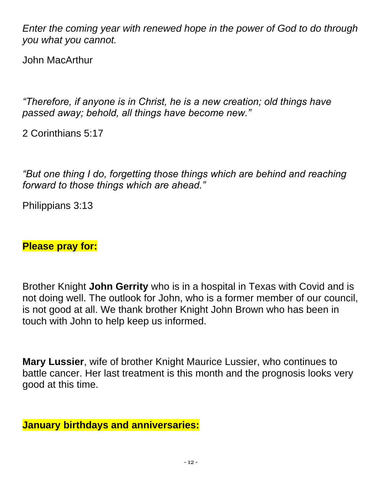*Enter the coming year with renewed hope in the power of God to do through you what you cannot.*

John MacArthur

*"Therefore, if anyone is in Christ, he is a new creation; old things have passed away; behold, all things have become new."*

2 Corinthians 5:17

*"But one thing I do, forgetting those things which are behind and reaching forward to those things which are ahead."*

Philippians 3:13

#### **Please pray for:**

Brother Knight **John Gerrity** who is in a hospital in Texas with Covid and is not doing well. The outlook for John, who is a former member of our council, is not good at all. We thank brother Knight John Brown who has been in touch with John to help keep us informed.

**Mary Lussier**, wife of brother Knight Maurice Lussier, who continues to battle cancer. Her last treatment is this month and the prognosis looks very good at this time.

#### **January birthdays and anniversaries:**